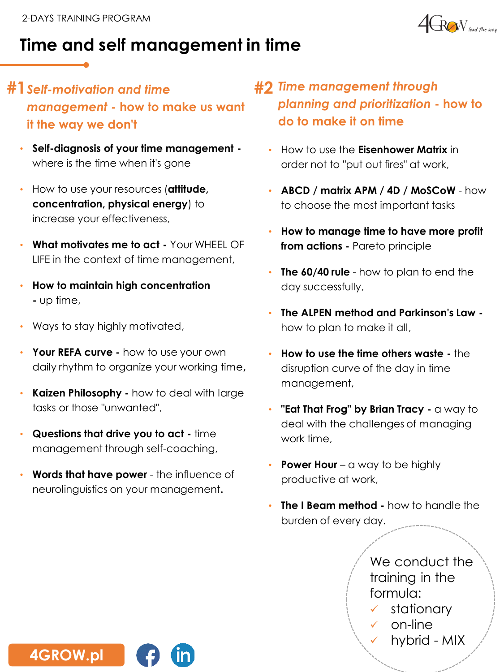

# **Time and self management in time**

- **#1***Self-motivation and time management -* **how to make us want it the way we don't**
	- **Self-diagnosis of your time management**  where is the time when it's gone
	- How to use your resources (**attitude, concentration, physical energy**) to increase your effectiveness,
	- **What motivates me to act -** Your WHEEL OF LIFE in the context of time management,
	- **How to maintain high concentration -** up time,
	- Ways to stay highly motivated,
	- **Your REFA curve -** how to use your own daily rhythm to organize your working time**,**
	- **Kaizen Philosophy -** how to deal with large tasks or those "unwanted",
	- **Questions that drive you to act -** time management through self-coaching,
	- **Words that have power**  the influence of neurolinguistics on your management**.**
- **#2** *Time management through planning and prioritization* **- how to do to make it on time**
	- How to use the **Eisenhower Matrix** in order not to "put out fires" at work,
	- **ABCD / matrix APM / 4D / MoSCoW** how to choose the most important tasks
	- **How to manage time to have more profit from actions -** Pareto principle
	- **The 60/40 rule** how to plan to end the day successfully,
	- **The ALPEN method and Parkinson's Law**  how to plan to make it all,
	- **How to use the time others waste -** the disruption curve of the day in time management,
	- "**Eat That Frog" by Brian Tracy -** a way to deal with the challenges of managing work time,
	- **Power Hour** a way to be highly productive at work,
	- **The I Beam method -** how to handle the burden of every day.

We conduct the training in the formula:

- stationary
- on-line
- hybrid MIX

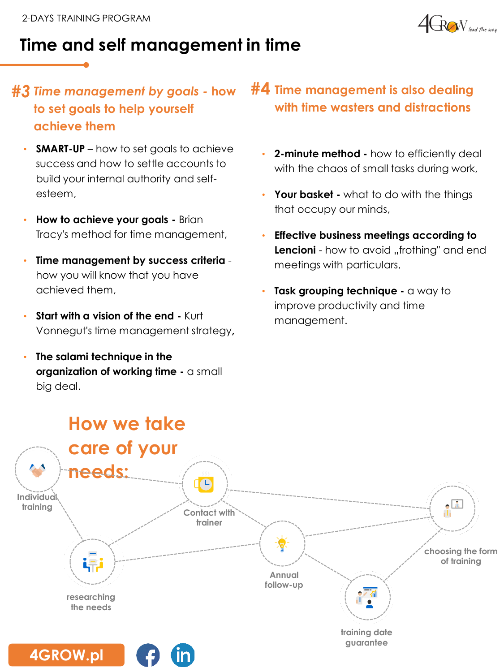

# **Time and self management in time**

#### *Time management by goals -* **how to set goals to help yourself achieve them**

- **SMART-UP** how to set goals to achieve success and how to settle accounts to build your internal authority and selfesteem,
- **How to achieve your goals -** Brian Tracy's method for time management,
- **Time management by success criteria**  how you will know that you have achieved them,
- **Start with a vision of the end Kurt** Vonnegut's time management strategy**,**
- **The salami technique in the organization of working time -** a small big deal.

### **#***3* **#4 Time management is also dealing with time wasters and distractions**

- **2-minute method -** how to efficiently deal with the chaos of small tasks during work,
- **Your basket -** what to do with the things that occupy our minds,
- **Effective business meetings according to Lencioni** - how to avoid "frothing" and end meetings with particulars,
- **Task grouping technique -** a way to improve productivity and time management.